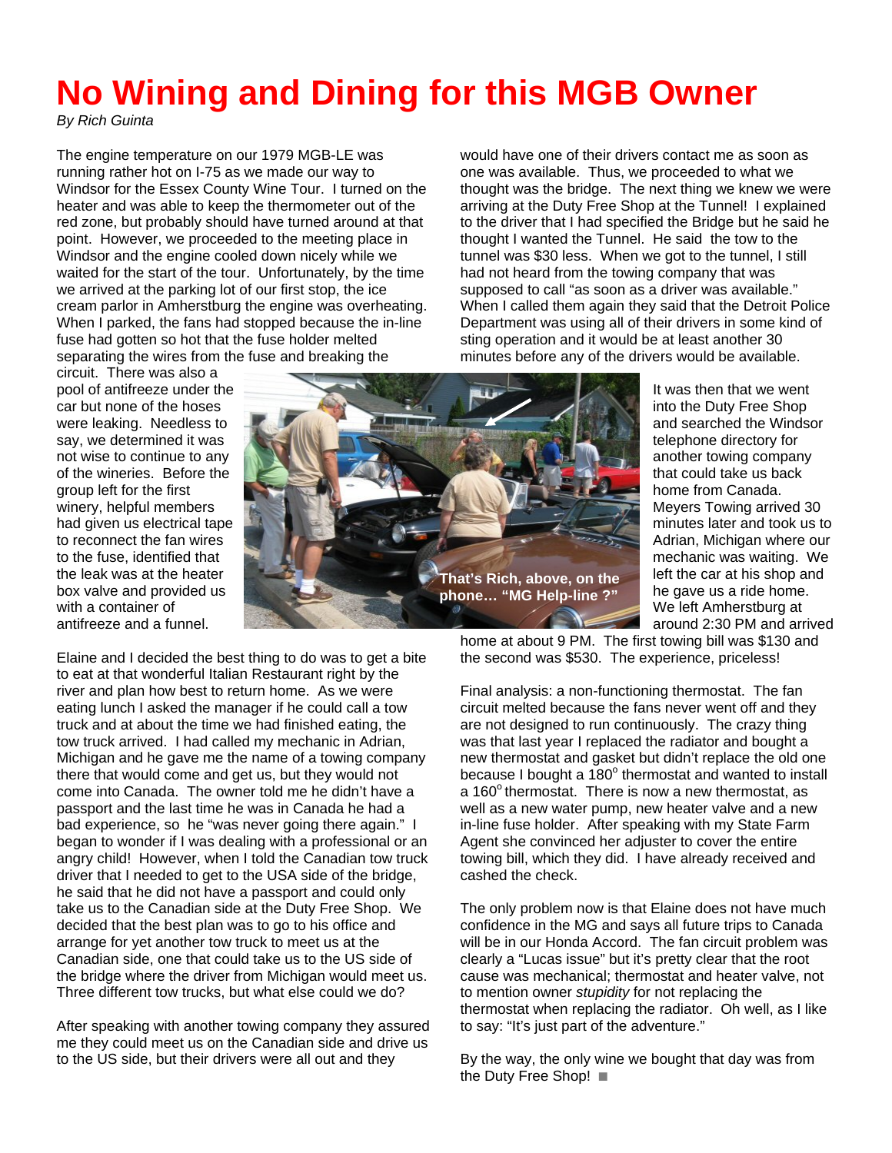## **No Wining and Dining for this MGB Owner**

*By Rich Guinta* 

The engine temperature on our 1979 MGB-LE was running rather hot on I-75 as we made our way to Windsor for the Essex County Wine Tour. I turned on the heater and was able to keep the thermometer out of the red zone, but probably should have turned around at that point. However, we proceeded to the meeting place in Windsor and the engine cooled down nicely while we waited for the start of the tour. Unfortunately, by the time we arrived at the parking lot of our first stop, the ice cream parlor in Amherstburg the engine was overheating. When I parked, the fans had stopped because the in-line fuse had gotten so hot that the fuse holder melted separating the wires from the fuse and breaking the

circuit. There was also a pool of antifreeze under the car but none of the hoses were leaking. Needless to say, we determined it was not wise to continue to any of the wineries. Before the group left for the first winery, helpful members had given us electrical tape to reconnect the fan wires to the fuse, identified that the leak was at the heater box valve and provided us with a container of antifreeze and a funnel.



would have one of their drivers contact me as soon as one was available. Thus, we proceeded to what we thought was the bridge. The next thing we knew we were arriving at the Duty Free Shop at the Tunnel! I explained to the driver that I had specified the Bridge but he said he thought I wanted the Tunnel. He said the tow to the tunnel was \$30 less. When we got to the tunnel, I still had not heard from the towing company that was supposed to call "as soon as a driver was available." When I called them again they said that the Detroit Police Department was using all of their drivers in some kind of sting operation and it would be at least another 30 minutes before any of the drivers would be available.

> It was then that we went into the Duty Free Shop and searched the Windsor telephone directory for another towing company that could take us back home from Canada. Meyers Towing arrived 30 minutes later and took us to Adrian, Michigan where our mechanic was waiting. We left the car at his shop and he gave us a ride home. We left Amherstburg at around 2:30 PM and arrived

Elaine and I decided the best thing to do was to get a bite to eat at that wonderful Italian Restaurant right by the river and plan how best to return home. As we were eating lunch I asked the manager if he could call a tow truck and at about the time we had finished eating, the tow truck arrived. I had called my mechanic in Adrian, Michigan and he gave me the name of a towing company there that would come and get us, but they would not come into Canada. The owner told me he didn't have a passport and the last time he was in Canada he had a bad experience, so he "was never going there again." I began to wonder if I was dealing with a professional or an angry child! However, when I told the Canadian tow truck driver that I needed to get to the USA side of the bridge, he said that he did not have a passport and could only take us to the Canadian side at the Duty Free Shop. We decided that the best plan was to go to his office and arrange for yet another tow truck to meet us at the Canadian side, one that could take us to the US side of the bridge where the driver from Michigan would meet us. Three different tow trucks, but what else could we do?

After speaking with another towing company they assured me they could meet us on the Canadian side and drive us to the US side, but their drivers were all out and they

home at about 9 PM. The first towing bill was \$130 and the second was \$530. The experience, priceless!

Final analysis: a non-functioning thermostat. The fan circuit melted because the fans never went off and they are not designed to run continuously. The crazy thing was that last year I replaced the radiator and bought a new thermostat and gasket but didn't replace the old one because I bought a  $180^\circ$  thermostat and wanted to install a  $160^\circ$  thermostat. There is now a new thermostat, as well as a new water pump, new heater valve and a new in-line fuse holder. After speaking with my State Farm Agent she convinced her adjuster to cover the entire towing bill, which they did. I have already received and cashed the check.

The only problem now is that Elaine does not have much confidence in the MG and says all future trips to Canada will be in our Honda Accord. The fan circuit problem was clearly a "Lucas issue" but it's pretty clear that the root cause was mechanical; thermostat and heater valve, not to mention owner *stupidity* for not replacing the thermostat when replacing the radiator. Oh well, as I like to say: "It's just part of the adventure."

By the way, the only wine we bought that day was from the Duty Free Shop!  $\blacksquare$